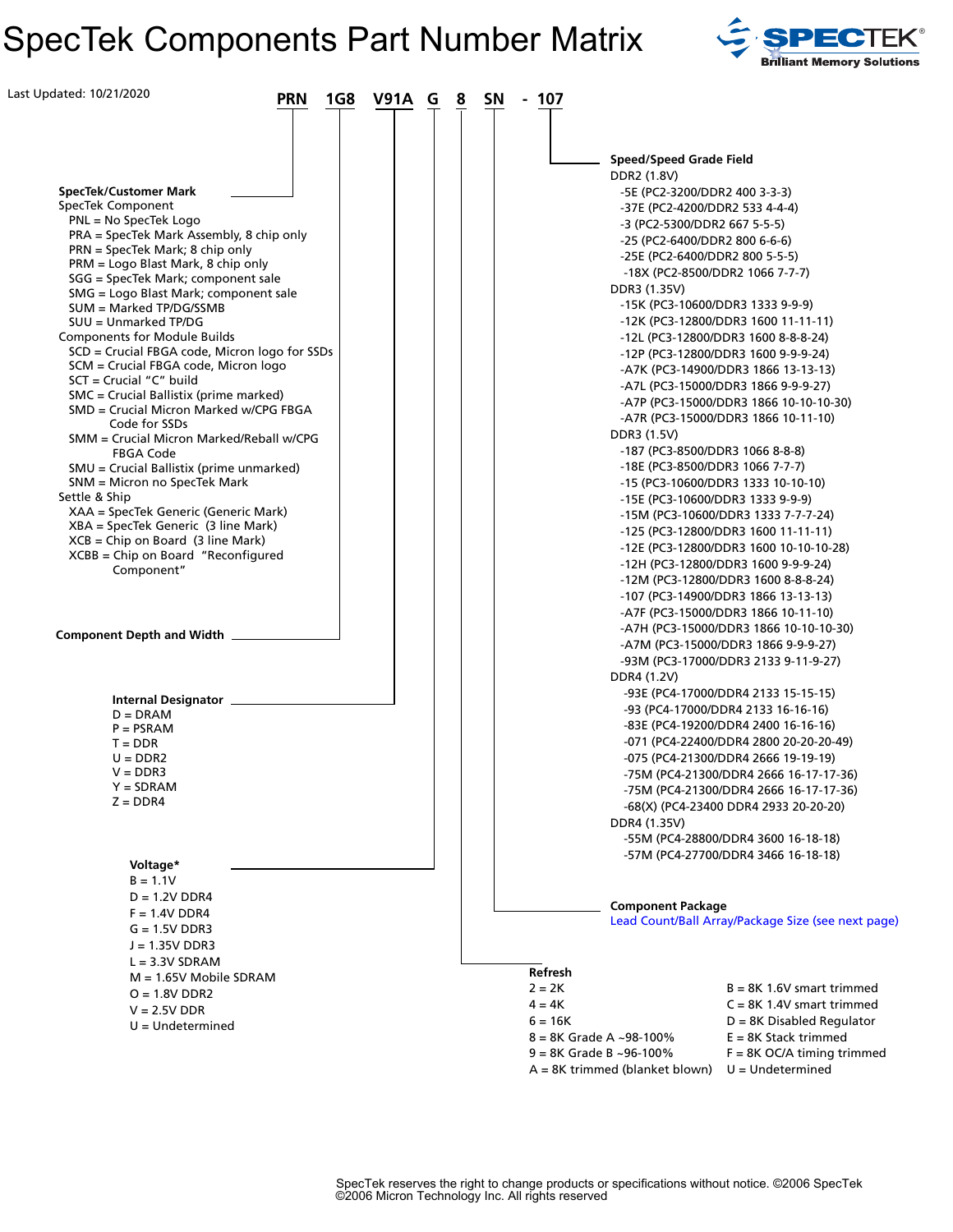# SpecTek Components Part Number Matrix SPECTEK®



| Last Updated: 10/21/2020<br><b>V91A G</b><br><b>PRN</b><br>1G8                                                                                                                                                                                                                                                                       | 8<br><b>SN</b><br>107<br>$\sim$                                                                                                                                                                                                                                                                                                                                                                      |
|--------------------------------------------------------------------------------------------------------------------------------------------------------------------------------------------------------------------------------------------------------------------------------------------------------------------------------------|------------------------------------------------------------------------------------------------------------------------------------------------------------------------------------------------------------------------------------------------------------------------------------------------------------------------------------------------------------------------------------------------------|
| <b>SpecTek/Customer Mark</b><br>SpecTek Component<br>$PNL = No Spectrek Logo$<br>PRA = SpecTek Mark Assembly, 8 chip only<br>PRN = SpecTek Mark; 8 chip only<br>PRM = Logo Blast Mark, 8 chip only<br>SGG = SpecTek Mark; component sale<br>SMG = Logo Blast Mark; component sale<br>SUM = Marked TP/DG/SSMB<br>SUU = Unmarked TP/DG | <b>Speed/Speed Grade Field</b><br>DDR2 (1.8V)<br>-5E (PC2-3200/DDR2 400 3-3-3)<br>-37E (PC2-4200/DDR2 533 4-4-4)<br>-3 (PC2-5300/DDR2 667 5-5-5)<br>-25 (PC2-6400/DDR2 800 6-6-6)<br>-25E (PC2-6400/DDR2 800 5-5-5)<br>-18X (PC2-8500/DDR2 1066 7-7-7)<br>DDR3 (1.35V)<br>-15K (PC3-10600/DDR3 1333 9-9-9)<br>-12K (PC3-12800/DDR3 1600 11-11-11)                                                    |
| <b>Components for Module Builds</b><br>SCD = Crucial FBGA code, Micron logo for SSDs<br>SCM = Crucial FBGA code, Micron logo<br>$SCT = Crucial "C" build$<br>SMC = Crucial Ballistix (prime marked)<br>SMD = Crucial Micron Marked w/CPG FBGA<br>Code for SSDs<br>SMM = Crucial Micron Marked/Reball w/CPG                           | -12L (PC3-12800/DDR3 1600 8-8-8-24)<br>-12P (PC3-12800/DDR3 1600 9-9-9-24)<br>-A7K (PC3-14900/DDR3 1866 13-13-13)<br>-A7L (PC3-15000/DDR3 1866 9-9-9-27)<br>-A7P (PC3-15000/DDR3 1866 10-10-10-30)<br>-A7R (PC3-15000/DDR3 1866 10-11-10)<br>DDR3 (1.5V)                                                                                                                                             |
| FBGA Code<br>SMU = Crucial Ballistix (prime unmarked)<br>SNM = Micron no SpecTek Mark<br>Settle & Ship<br>XAA = SpecTek Generic (Generic Mark)<br>XBA = SpecTek Generic (3 line Mark)<br>$XCB = Chip on Board (3 line Mark)$<br>$XCBB = Chip on Board$ "Reconfigured                                                                 | -187 (PC3-8500/DDR3 1066 8-8-8)<br>-18E (PC3-8500/DDR3 1066 7-7-7)<br>-15 (PC3-10600/DDR3 1333 10-10-10)<br>-15E (PC3-10600/DDR3 1333 9-9-9)<br>-15M (PC3-10600/DDR3 1333 7-7-7-24)<br>-125 (PC3-12800/DDR3 1600 11-11-11)<br>-12E (PC3-12800/DDR3 1600 10-10-10-28)<br>-12H (PC3-12800/DDR3 1600 9-9-9-24)                                                                                          |
| Component"<br><b>Component Depth and Width</b>                                                                                                                                                                                                                                                                                       | -12M (PC3-12800/DDR3 1600 8-8-8-24)<br>-107 (PC3-14900/DDR3 1866 13-13-13)<br>-A7F (PC3-15000/DDR3 1866 10-11-10)<br>-A7H (PC3-15000/DDR3 1866 10-10-10-30)<br>-A7M (PC3-15000/DDR3 1866 9-9-9-27)<br>-93M (PC3-17000/DDR3 2133 9-11-9-27)                                                                                                                                                           |
| Internal Designator _<br>$D = DRAM$<br>$P = PSRAM$<br>$T = DDR$<br>$U = DDR2$<br>$V = DDR3$<br>$Y = SDRAM$<br>$Z = DDR4$                                                                                                                                                                                                             | DDR4 (1.2V)<br>-93E (PC4-17000/DDR4 2133 15-15-15)<br>-93 (PC4-17000/DDR4 2133 16-16-16)<br>-83E (PC4-19200/DDR4 2400 16-16-16)<br>-071 (PC4-22400/DDR4 2800 20-20-20-49)<br>-075 (PC4-21300/DDR4 2666 19-19-19)<br>-75M (PC4-21300/DDR4 2666 16-17-17-36)<br>-75M (PC4-21300/DDR4 2666 16-17-17-36)<br>-68(X) (PC4-23400 DDR4 2933 20-20-20)<br>DDR4 (1.35V)<br>-55M (PC4-28800/DDR4 3600 16-18-18) |
| Voltage*<br>$B = 1.1V$<br>$D = 1.2V$ DDR4<br>$F = 1.4V$ DDR4<br>$G = 1.5V$ DDR3<br>$J = 1.35V$ DDR3                                                                                                                                                                                                                                  | -57M (PC4-27700/DDR4 3466 16-18-18)<br><b>Component Package</b><br>Lead Count/Ball Array/Package Size (see next page)                                                                                                                                                                                                                                                                                |
| $L = 3.3V$ SDRAM<br>$M = 1.65V$ Mobile SDRAM<br>$O = 1.8V$ DDR2<br>$V = 2.5V$ DDR<br>$U =$ Undetermined                                                                                                                                                                                                                              | Refresh<br>$2 = 2K$<br>$B = 8K$ 1.6V smart trimmed<br>$4 = 4K$<br>$C = 8K$ 1.4V smart trimmed<br>$D = 8K$ Disabled Regulator<br>$6 = 16K$<br>$8 = 8K$ Grade A ~98-100%<br>$E = 8K$ Stack trimmed<br>$9 = 8K$ Grade B ~96-100%<br>$F = 8K$ OC/A timing trimmed<br>A = 8K trimmed (blanket blown)<br>$U =$ Undetermined                                                                                |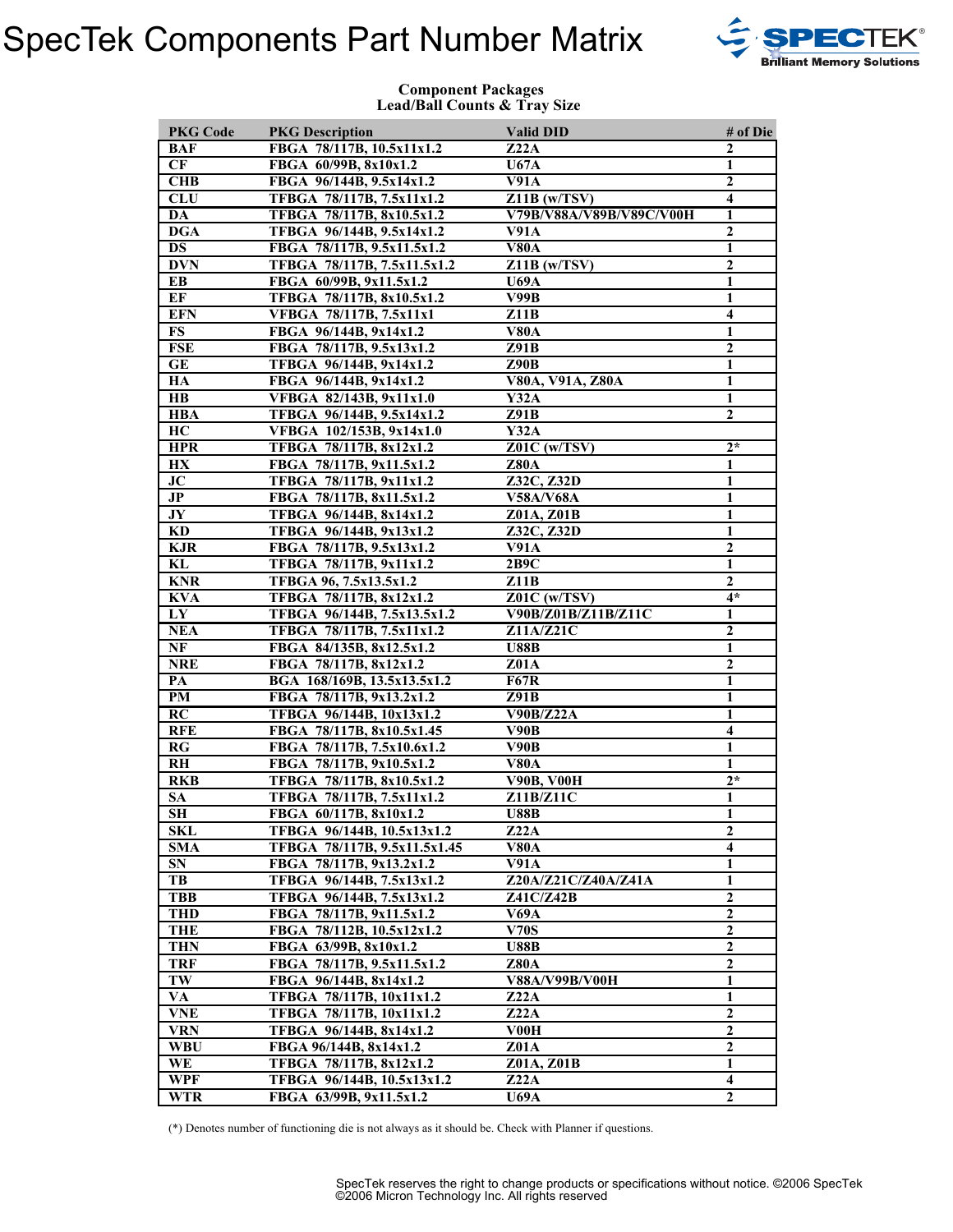### SpecTek Components Part Number Matrix SPECTEK



### **Component Packages Lead/Ball Counts & Tray Size**

| <b>PKG Code</b>         | <b>PKG Description</b>       | <b>Valid DID</b>          | # of Die                |
|-------------------------|------------------------------|---------------------------|-------------------------|
| BAF                     | FBGA 78/117B, 10.5x11x1.2    | Z22A                      | $\mathbf{2}$            |
| CF                      | FBGA 60/99B, 8x10x1.2        | U67A                      | 1                       |
| CHB                     | FBGA 96/144B, 9.5x14x1.2     | $\overline{\text{V91}}$ A | $\overline{2}$          |
| <b>CLU</b>              | TFBGA 78/117B, 7.5x11x1.2    | $Z11B$ (w/TSV)            | $\overline{\mathbf{4}}$ |
| DA                      | TFBGA 78/117B, 8x10.5x1.2    | V79B/V88A/V89B/V89C/V00H  | 1                       |
| <b>DGA</b>              | TFBGA 96/144B, 9.5x14x1.2    | V91A                      | $\overline{2}$          |
| DS                      | FBGA 78/117B, 9.5x11.5x1.2   | V80A                      | 1                       |
| <b>DVN</b>              | TFBGA 78/117B, 7.5x11.5x1.2  | $Z11B$ (w/TSV)            | $\boldsymbol{2}$        |
| EB                      | FBGA 60/99B, 9x11.5x1.2      | <b>U69A</b>               | 1                       |
| EF                      | TFBGA 78/117B, 8x10.5x1.2    | V99B                      | 1                       |
| <b>EFN</b>              | VFBGA 78/117B, 7.5x11x1      | Z11B                      | $\overline{\mathbf{4}}$ |
| <b>FS</b>               | FBGA 96/144B, 9x14x1.2       | <b>V80A</b>               | 1                       |
| <b>FSE</b>              | FBGA 78/117B, 9.5x13x1.2     | Z91B                      | $\mathbf{2}$            |
| GE                      | TFBGA 96/144B, 9x14x1.2      | Z90B                      | $\mathbf{1}$            |
| HA                      | FBGA 96/144B, 9x14x1.2       | V80A, V91A, Z80A          | $\mathbf{1}$            |
| $\mathbf{H}\mathbf{B}$  | VFBGA 82/143B, 9x11x1.0      | Y32A                      | 1                       |
| <b>HBA</b>              | TFBGA 96/144B, 9.5x14x1.2    | Z91B                      | $\mathbf{2}$            |
| HC                      | VFBGA 102/153B, 9x14x1.0     | Y32A                      |                         |
| <b>HPR</b>              | TFBGA 78/117B, 8x12x1.2      | $Z01C$ (w/TSV)            | $2*$                    |
| HX                      | FBGA 78/117B, 9x11.5x1.2     | <b>Z80A</b>               | 1                       |
| JC                      | TFBGA 78/117B, 9x11x1.2      | Z32C, Z32D                | 1                       |
| $\mathbf{J} \mathbf{P}$ | FBGA 78/117B, 8x11.5x1.2     | <b>V58A/V68A</b>          | 1                       |
| JY                      | TFBGA 96/144B, 8x14x1.2      | Z01A, Z01B                | $\mathbf{1}$            |
| KD                      | TFBGA 96/144B, 9x13x1.2      | Z32C, Z32D                | 1                       |
| <b>KJR</b>              | FBGA 78/117B, 9.5x13x1.2     | V91A                      | $\overline{2}$          |
| KL                      | TFBGA 78/117B, 9x11x1.2      | 2B9C                      | 1                       |
| <b>KNR</b>              | TFBGA 96, 7.5x13.5x1.2       | Z11B                      | $\mathbf{2}$            |
| <b>KVA</b>              | TFBGA 78/117B, 8x12x1.2      | Z01C (w/TSV)              | $4*$                    |
| LY                      | TFBGA 96/144B, 7.5x13.5x1.2  | V90B/Z01B/Z11B/Z11C       | 1                       |
| <b>NEA</b>              | TFBGA 78/117B, 7.5x11x1.2    | Z11A/Z21C                 | $\overline{2}$          |
| NF                      | FBGA 84/135B, 8x12.5x1.2     | <b>U88B</b>               | 1                       |
| <b>NRE</b>              | FBGA 78/117B, 8x12x1.2       | Z01A                      | $\overline{2}$          |
| PA                      | BGA 168/169B, 13.5x13.5x1.2  | <b>F67R</b>               | $\overline{\mathbf{1}}$ |
| PM                      | FBGA 78/117B, 9x13.2x1.2     | Z91B                      | 1                       |
| RC                      | TFBGA 96/144B, 10x13x1.2     | <b>V90B/Z22A</b>          | 1                       |
| <b>RFE</b>              | FBGA 78/117B, 8x10.5x1.45    | V90B                      | $\overline{\mathbf{4}}$ |
| RG                      | FBGA 78/117B, 7.5x10.6x1.2   | V90B                      | $\mathbf{1}$            |
| <b>RH</b>               | FBGA 78/117B, 9x10.5x1.2     | <b>V80A</b>               | $\mathbf{1}$            |
| <b>RKB</b>              | TFBGA 78/117B, 8x10.5x1.2    | <b>V90B, V00H</b>         | $2*$                    |
| <b>SA</b>               | TFBGA 78/117B, 7.5x11x1.2    | Z11B/Z11C                 | 1                       |
| <b>SH</b>               | FBGA 60/117B, 8x10x1.2       | <b>U88B</b>               | 1                       |
| SKL                     | TFBGA 96/144B, 10.5x13x1.2   | Z22A                      | $\mathbf{2}$            |
| <b>SMA</b>              | TFBGA 78/117B, 9.5x11.5x1.45 | V80A                      | $\overline{\mathbf{4}}$ |
| <b>SN</b>               | FBGA 78/117B, 9x13.2x1.2     | <b>V91A</b>               | $\mathbf{1}$            |
| TB                      | TFBGA 96/144B, 7.5x13x1.2    | Z20A/Z21C/Z40A/Z41A       | 1                       |
| <b>TBB</b>              | TFBGA 96/144B, 7.5x13x1.2    | Z41C/Z42B                 | $\overline{2}$          |
| <b>THD</b>              | FBGA 78/117B, 9x11.5x1.2     | V69A                      | $\boldsymbol{2}$        |
| THE                     | FBGA 78/112B, 10.5x12x1.2    | <b>V70S</b>               | $\overline{\mathbf{2}}$ |
| <b>THN</b>              | FBGA 63/99B, 8x10x1.2        | <b>U88B</b>               | $\mathbf 2$             |
| TRF                     | FBGA 78/117B, 9.5x11.5x1.2   | <b>Z80A</b>               | $\boldsymbol{2}$        |
| TW                      | FBGA 96/144B, 8x14x1.2       | <b>V88A/V99B/V00H</b>     | $\mathbf{1}$            |
| VA                      | TFBGA 78/117B, 10x11x1.2     | Z22A                      | $\mathbf{1}$            |
| <b>VNE</b>              | TFBGA 78/117B, 10x11x1.2     | Z22A                      | $\boldsymbol{2}$        |
| <b>VRN</b>              | TFBGA 96/144B, 8x14x1.2      | V00H                      | $\mathbf{2}$            |
| <b>WBU</b>              | FBGA 96/144B, 8x14x1.2       | <b>Z01A</b>               | $\boldsymbol{2}$        |
| WE                      | TFBGA 78/117B, 8x12x1.2      | Z01A, Z01B                | $\mathbf{1}$            |
| WPF                     | TFBGA 96/144B, 10.5x13x1.2   | Z22A                      | $\overline{\mathbf{4}}$ |
| <b>WTR</b>              | FBGA 63/99B, 9x11.5x1.2      | <b>U69A</b>               | $\overline{2}$          |
|                         |                              |                           |                         |

(\*) Denotes number of functioning die is not always as it should be. Check with Planner if questions.